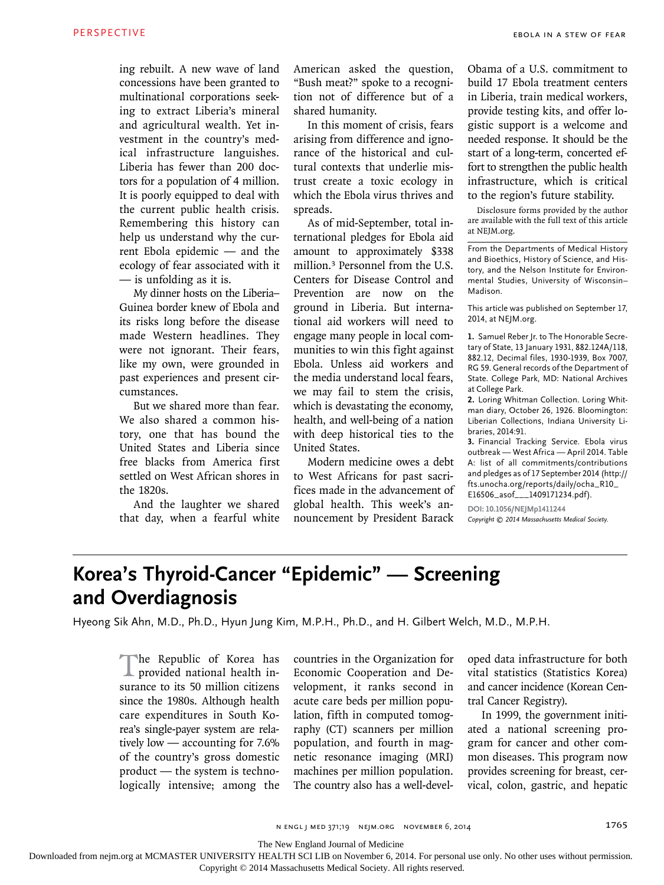ing rebuilt. A new wave of land concessions have been granted to multinational corporations seeking to extract Liberia's mineral and agricultural wealth. Yet investment in the country's medical infrastructure languishes. Liberia has fewer than 200 doctors for a population of 4 million. It is poorly equipped to deal with the current public health crisis. Remembering this history can help us understand why the current Ebola epidemic — and the ecology of fear associated with it — is unfolding as it is.

My dinner hosts on the Liberia– Guinea border knew of Ebola and its risks long before the disease made Western headlines. They were not ignorant. Their fears, like my own, were grounded in past experiences and present circumstances.

But we shared more than fear. We also shared a common history, one that has bound the United States and Liberia since free blacks from America first settled on West African shores in the 1820s.

And the laughter we shared that day, when a fearful white American asked the question, "Bush meat?" spoke to a recognition not of difference but of a shared humanity.

In this moment of crisis, fears arising from difference and ignorance of the historical and cultural contexts that underlie mistrust create a toxic ecology in which the Ebola virus thrives and spreads.

As of mid-September, total international pledges for Ebola aid amount to approximately \$338 million.3 Personnel from the U.S. Centers for Disease Control and Prevention are now on the ground in Liberia. But international aid workers will need to engage many people in local communities to win this fight against Ebola. Unless aid workers and the media understand local fears, we may fail to stem the crisis, which is devastating the economy, health, and well-being of a nation with deep historical ties to the United States.

Modern medicine owes a debt to West Africans for past sacrifices made in the advancement of global health. This week's announcement by President Barack Obama of a U.S. commitment to build 17 Ebola treatment centers in Liberia, train medical workers, provide testing kits, and offer logistic support is a welcome and needed response. It should be the start of a long-term, concerted effort to strengthen the public health infrastructure, which is critical to the region's future stability.

Disclosure forms provided by the author are available with the full text of this article at NEJM.org.

From the Departments of Medical History and Bioethics, History of Science, and History, and the Nelson Institute for Environmental Studies, University of Wisconsin– Madison.

This article was published on September 17, 2014, at NEJM.org.

**1.** Samuel Reber Jr. to The Honorable Secretary of State, 13 January 1931, 882.124A/118, 882.12, Decimal files, 1930-1939, Box 7007, RG 59. General records of the Department of State. College Park, MD: National Archives at College Park.

**2.** Loring Whitman Collection. Loring Whitman diary, October 26, 1926. Bloomington: Liberian Collections, Indiana University Libraries, 2014:91.

**3.** Financial Tracking Service. Ebola virus outbreak — West Africa — April 2014. Table A: list of all commitments/contributions and pledges as of 17 September 2014 (http:// fts.unocha.org/reports/daily/ocha\_R10\_ E16506\_asof\_\_\_1409171234.pdf).

**DOI: 10.1056/NEJMp1411244** *Copyright © 2014 Massachusetts Medical Society.*

## **Korea's Thyroid-Cancer "Epidemic" — Screening and Overdiagnosis**

Hyeong Sik Ahn, M.D., Ph.D., Hyun Jung Kim, M.P.H., Ph.D., and H. Gilbert Welch, M.D., M.P.H.

The Republic of Korea has provided national health insurance to its 50 million citizens since the 1980s. Although health care expenditures in South Korea's single-payer system are relatively low — accounting for 7.6% of the country's gross domestic product — the system is technologically intensive; among the countries in the Organization for Economic Cooperation and Development, it ranks second in acute care beds per million population, fifth in computed tomography (CT) scanners per million population, and fourth in magnetic resonance imaging (MRI) machines per million population. The country also has a well-developed data infrastructure for both vital statistics (Statistics Korea) and cancer incidence (Korean Central Cancer Registry).

In 1999, the government initiated a national screening program for cancer and other common diseases. This program now provides screening for breast, cervical, colon, gastric, and hepatic

n engl j med 371;19 nejm.org november 6, 2014

The New England Journal of Medicine

Downloaded from nejm.org at MCMASTER UNIVERSITY HEALTH SCI LIB on November 6, 2014. For personal use only. No other uses without permission.

Copyright © 2014 Massachusetts Medical Society. All rights reserved.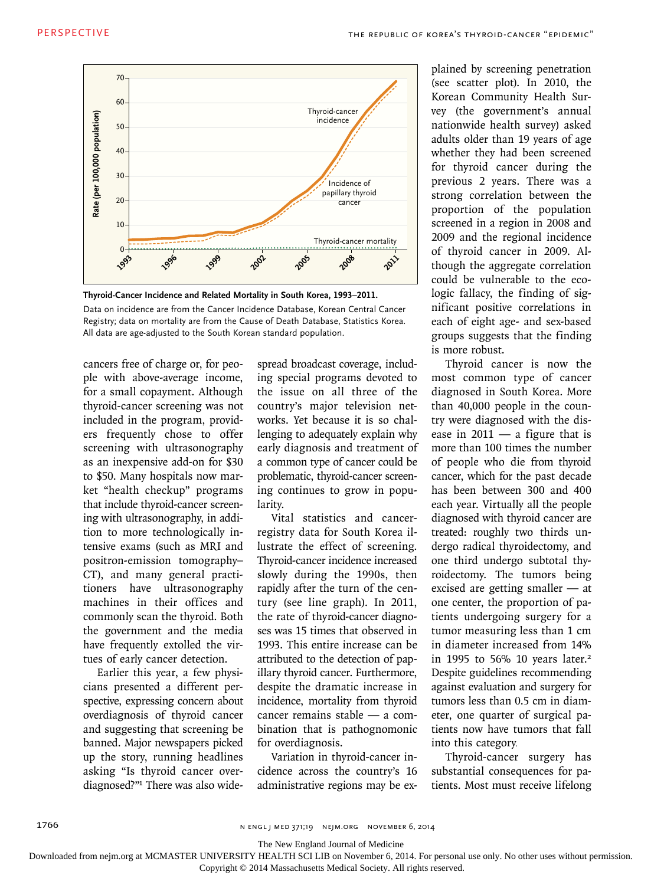

**Thyroid-Cancer Incidence and Related Mortality in South Korea, 1993–2011.** Data on incidence are from the Cancer Incidence Database, Korean Central Cancer Registry; data on mortality are from the Cause of Death Database, Statistics Korea. All data are age-adjusted to the South Korean standard population.

cancers free of charge or, for people with above-average income, for a small copayment. Although thyroid-cancer screening was not included in the program, providers frequently chose to offer screening with ultrasonography as an inexpensive add-on for \$30 to \$50. Many hospitals now market "health checkup" programs that include thyroid-cancer screening with ultrasonography, in addition to more technologically intensive exams (such as MRI and positron-emission tomography– CT), and many general practitioners have ultrasonography machines in their offices and commonly scan the thyroid. Both the government and the media have frequently extolled the virtues of early cancer detection.

Earlier this year, a few physicians presented a different perspective, expressing concern about overdiagnosis of thyroid cancer and suggesting that screening be banned. Major newspapers picked up the story, running headlines asking "Is thyroid cancer overdiagnosed?"1 There was also widespread broadcast coverage, including special programs devoted to the issue on all three of the country's major television networks. Yet because it is so challenging to adequately explain why early diagnosis and treatment of a common type of cancer could be problematic, thyroid-cancer screening continues to grow in popularity.

Vital statistics and cancerregistry data for South Korea illustrate the effect of screening. Thyroid-cancer incidence increased slowly during the 1990s, then rapidly after the turn of the century (see line graph). In 2011, the rate of thyroid-cancer diagnoses was 15 times that observed in 1993. This entire increase can be attributed to the detection of papillary thyroid cancer. Furthermore, despite the dramatic increase in incidence, mortality from thyroid cancer remains stable — a combination that is pathognomonic for overdiagnosis.

Variation in thyroid-cancer incidence across the country's 16 administrative regions may be explained by screening penetration (see scatter plot). In 2010, the Korean Community Health Survey (the government's annual nationwide health survey) asked adults older than 19 years of age whether they had been screened for thyroid cancer during the previous 2 years. There was a strong correlation between the proportion of the population screened in a region in 2008 and 2009 and the regional incidence of thyroid cancer in 2009. Although the aggregate correlation could be vulnerable to the ecologic fallacy, the finding of significant positive correlations in each of eight age- and sex-based groups suggests that the finding is more robust.

Thyroid cancer is now the most common type of cancer diagnosed in South Korea. More than 40,000 people in the country were diagnosed with the disease in  $2011 - a$  figure that is more than 100 times the number of people who die from thyroid cancer, which for the past decade has been between 300 and 400 each year. Virtually all the people diagnosed with thyroid cancer are treated: roughly two thirds undergo radical thyroidectomy, and one third undergo subtotal thyroidectomy. The tumors being excised are getting smaller — at one center, the proportion of patients undergoing surgery for a tumor measuring less than 1 cm in diameter increased from 14% in 1995 to 56% 10 years later.<sup>2</sup> Despite guidelines recommending against evaluation and surgery for tumors less than 0.5 cm in diameter, one quarter of surgical patients now have tumors that fall into this category.

Thyroid-cancer surgery has substantial consequences for patients. Most must receive lifelong

1766 **n Engl j med j med j med 371;19 nejm.org november 6**, 2014

The New England Journal of Medicine

Downloaded from nejm.org at MCMASTER UNIVERSITY HEALTH SCI LIB on November 6, 2014. For personal use only. No other uses without permission.

Copyright © 2014 Massachusetts Medical Society. All rights reserved.